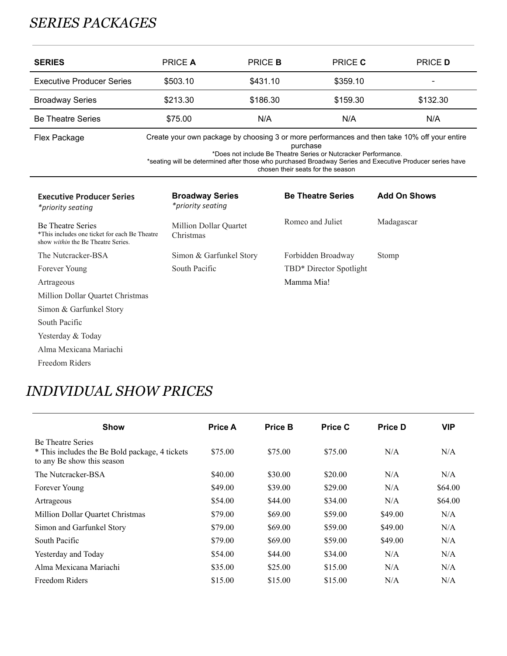## *SERIES PACKAGES*

| <b>SERIES</b>                                                                                                          | <b>PRICE A</b>                              | <b>PRICE B</b> | PRICE C                                                                                                         | <b>PRICE D</b>                                                                                                                                                                                           |
|------------------------------------------------------------------------------------------------------------------------|---------------------------------------------|----------------|-----------------------------------------------------------------------------------------------------------------|----------------------------------------------------------------------------------------------------------------------------------------------------------------------------------------------------------|
| <b>Executive Producer Series</b>                                                                                       | \$503.10                                    | \$431.10       | \$359.10                                                                                                        |                                                                                                                                                                                                          |
| <b>Broadway Series</b>                                                                                                 | \$213.30                                    | \$186.30       | \$159.30                                                                                                        | \$132.30                                                                                                                                                                                                 |
| <b>Be Theatre Series</b>                                                                                               | \$75.00                                     | N/A            | N/A                                                                                                             | N/A                                                                                                                                                                                                      |
| Flex Package                                                                                                           |                                             |                | purchase<br>*Does not include Be Theatre Series or Nutcracker Performance.<br>chosen their seats for the season | Create your own package by choosing 3 or more performances and then take 10% off your entire<br>*seating will be determined after those who purchased Broadway Series and Executive Producer series have |
| <b>Executive Producer Series</b><br>*priority seating                                                                  | <b>Broadway Series</b><br>*priority seating |                | <b>Be Theatre Series</b>                                                                                        | <b>Add On Shows</b>                                                                                                                                                                                      |
| <b>Be Theatre Series</b><br>*This includes one ticket for each Be Theatre<br>show <i>within</i> the Be Theatre Series. | Million Dollar Quartet<br>Christmas         |                | Romeo and Juliet                                                                                                | Madagascar                                                                                                                                                                                               |
| The Nutcracker-BSA                                                                                                     | Simon & Garfunkel Story                     |                | Forbidden Broadway                                                                                              | Stomp                                                                                                                                                                                                    |
| Forever Young                                                                                                          | South Pacific                               |                | TBD* Director Spotlight                                                                                         |                                                                                                                                                                                                          |
| Artrageous                                                                                                             |                                             |                | Mamma Mia!                                                                                                      |                                                                                                                                                                                                          |
| Million Dollar Quartet Christmas                                                                                       |                                             |                |                                                                                                                 |                                                                                                                                                                                                          |
| Simon & Garfunkel Story                                                                                                |                                             |                |                                                                                                                 |                                                                                                                                                                                                          |
| South Pacific                                                                                                          |                                             |                |                                                                                                                 |                                                                                                                                                                                                          |
| Yesterday & Today                                                                                                      |                                             |                |                                                                                                                 |                                                                                                                                                                                                          |
| Alma Mexicana Mariachi                                                                                                 |                                             |                |                                                                                                                 |                                                                                                                                                                                                          |
| Freedom Riders                                                                                                         |                                             |                |                                                                                                                 |                                                                                                                                                                                                          |

## *INDIVIDUAL SHOW PRICES*

| <b>Show</b>                                                                                              | <b>Price A</b> | <b>Price B</b> | Price C | <b>Price D</b> | <b>VIP</b> |
|----------------------------------------------------------------------------------------------------------|----------------|----------------|---------|----------------|------------|
| <b>Be Theatre Series</b><br>* This includes the Be Bold package, 4 tickets<br>to any Be show this season | \$75.00        | \$75.00        | \$75.00 | N/A            | N/A        |
| The Nutcracker-BSA                                                                                       | \$40.00        | \$30.00        | \$20.00 | N/A            | N/A        |
| Forever Young                                                                                            | \$49.00        | \$39.00        | \$29.00 | N/A            | \$64.00    |
| Artrageous                                                                                               | \$54.00        | \$44.00        | \$34.00 | N/A            | \$64.00    |
| Million Dollar Quartet Christmas                                                                         | \$79.00        | \$69.00        | \$59.00 | \$49.00        | N/A        |
| Simon and Garfunkel Story                                                                                | \$79.00        | \$69.00        | \$59.00 | \$49.00        | N/A        |
| South Pacific                                                                                            | \$79.00        | \$69.00        | \$59.00 | \$49.00        | N/A        |
| Yesterday and Today                                                                                      | \$54.00        | \$44.00        | \$34.00 | N/A            | N/A        |
| Alma Mexicana Mariachi                                                                                   | \$35.00        | \$25.00        | \$15.00 | N/A            | N/A        |
| Freedom Riders                                                                                           | \$15.00        | \$15.00        | \$15.00 | N/A            | N/A        |